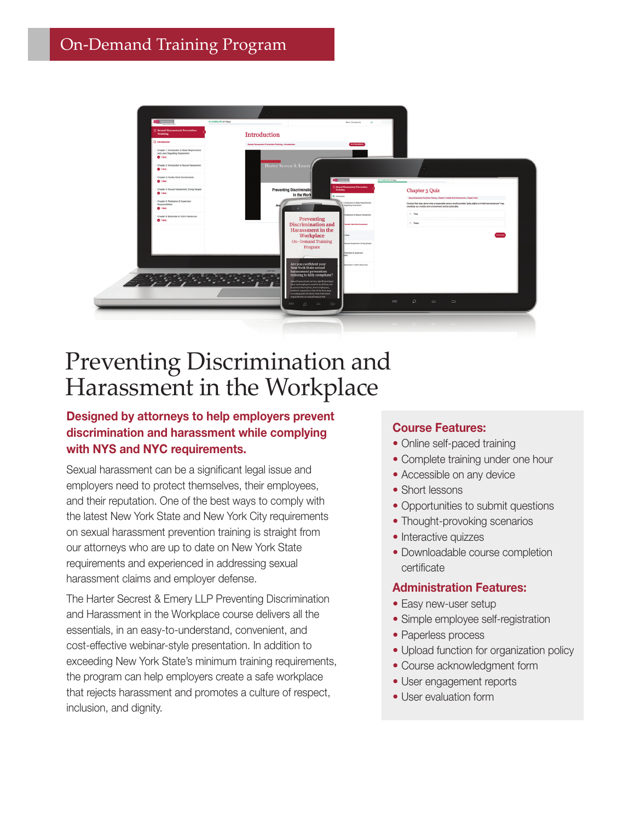# On-Demand Training Program



# Preventing Discrimination and Harassment in the Workplace

### Designed by attorneys to help employers prevent discrimination and harassment while complying with NYS and NYC requirements.

Sexual harassment can be a significant legal issue and employers need to protect themselves, their employees, and their reputation. One of the best ways to comply with the latest New York State and New York City requirements on sexual harassment prevention training is straight from our attorneys who are up to date on New York State requirements and experienced in addressing sexual harassment claims and employer defense.

The Harter Secrest & Emery LLP Preventing Discrimination and Harassment in the Workplace course delivers all the essentials, in an easy-to-understand, convenient, and cost-effective webinar-style presentation. In addition to exceeding New York State's minimum training requirements, the program can help employers create a safe workplace that rejects harassment and promotes a culture of respect, inclusion, and dignity.

#### Course Features:

- Online self-paced training
- Complete training under one hour
- Accessible on any device
- Short lessons
- Opportunities to submit questions
- Thought-provoking scenarios
- Interactive quizzes
- Downloadable course completion certificate

#### Administration Features:

- Easy new-user setup
- Simple employee self-registration
- Paperless process
- Upload function for organization policy
- Course acknowledgment form
- User engagement reports
- User evaluation form